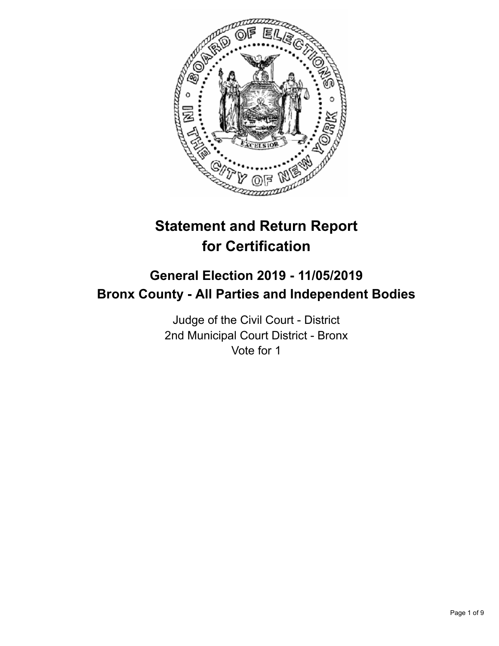

# **Statement and Return Report for Certification**

## **General Election 2019 - 11/05/2019 Bronx County - All Parties and Independent Bodies**

Judge of the Civil Court - District 2nd Municipal Court District - Bronx Vote for 1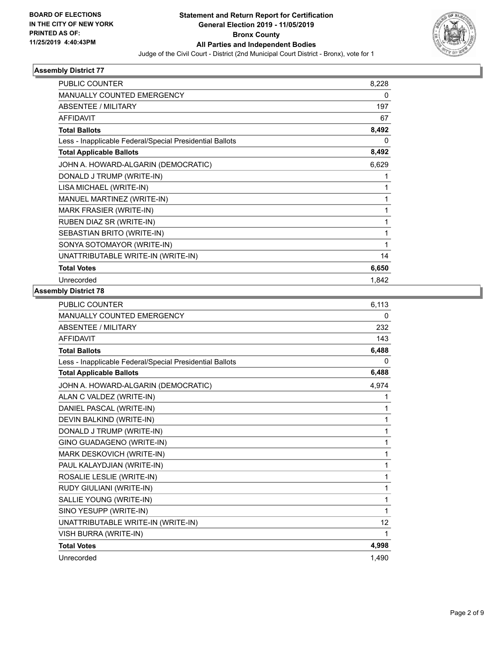

| <b>PUBLIC COUNTER</b>                                    | 8,228        |
|----------------------------------------------------------|--------------|
| <b>MANUALLY COUNTED EMERGENCY</b>                        | 0            |
| ABSENTEE / MILITARY                                      | 197          |
| <b>AFFIDAVIT</b>                                         | 67           |
| <b>Total Ballots</b>                                     | 8,492        |
| Less - Inapplicable Federal/Special Presidential Ballots | $\mathbf{0}$ |
| <b>Total Applicable Ballots</b>                          | 8,492        |
| JOHN A. HOWARD-ALGARIN (DEMOCRATIC)                      | 6,629        |
| DONALD J TRUMP (WRITE-IN)                                | 1            |
| LISA MICHAEL (WRITE-IN)                                  | 1            |
| MANUEL MARTINEZ (WRITE-IN)                               | 1            |
| MARK FRASIER (WRITE-IN)                                  | 1            |
| RUBEN DIAZ SR (WRITE-IN)                                 | 1            |
| SEBASTIAN BRITO (WRITE-IN)                               | 1            |
| SONYA SOTOMAYOR (WRITE-IN)                               | 1            |
| UNATTRIBUTABLE WRITE-IN (WRITE-IN)                       | 14           |
| <b>Total Votes</b>                                       | 6,650        |
| Unrecorded                                               | 1.842        |

| <b>PUBLIC COUNTER</b>                                    | 6,113 |
|----------------------------------------------------------|-------|
| <b>MANUALLY COUNTED EMERGENCY</b>                        | 0     |
| <b>ABSENTEE / MILITARY</b>                               | 232   |
| <b>AFFIDAVIT</b>                                         | 143   |
| <b>Total Ballots</b>                                     | 6,488 |
| Less - Inapplicable Federal/Special Presidential Ballots | 0     |
| <b>Total Applicable Ballots</b>                          | 6,488 |
| JOHN A. HOWARD-ALGARIN (DEMOCRATIC)                      | 4,974 |
| ALAN C VALDEZ (WRITE-IN)                                 | 1     |
| DANIEL PASCAL (WRITE-IN)                                 | 1     |
| DEVIN BALKIND (WRITE-IN)                                 | 1     |
| DONALD J TRUMP (WRITE-IN)                                | 1     |
| GINO GUADAGENO (WRITE-IN)                                | 1     |
| MARK DESKOVICH (WRITE-IN)                                | 1     |
| PAUL KALAYDJIAN (WRITE-IN)                               | 1     |
| ROSALIE LESLIE (WRITE-IN)                                | 1     |
| RUDY GIULIANI (WRITE-IN)                                 | 1     |
| SALLIE YOUNG (WRITE-IN)                                  | 1     |
| SINO YESUPP (WRITE-IN)                                   | 1     |
| UNATTRIBUTABLE WRITE-IN (WRITE-IN)                       | 12    |
| VISH BURRA (WRITE-IN)                                    | 1     |
| <b>Total Votes</b>                                       | 4,998 |
| Unrecorded                                               | 1.490 |
|                                                          |       |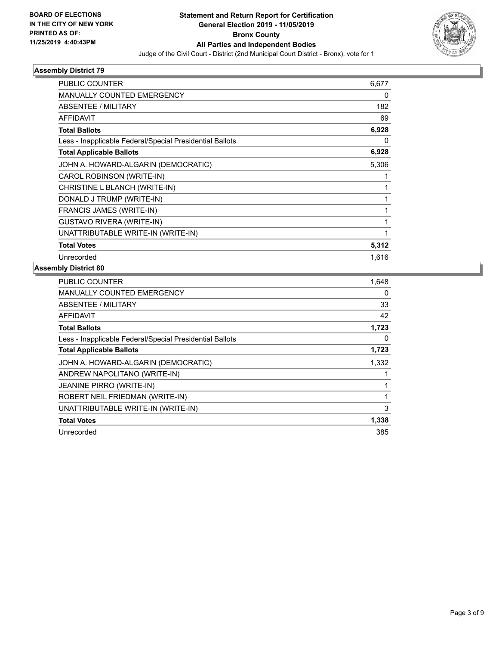

| PUBLIC COUNTER                                           | 6,677        |
|----------------------------------------------------------|--------------|
| <b>MANUALLY COUNTED EMERGENCY</b>                        | 0            |
| ABSENTEE / MILITARY                                      | 182          |
| <b>AFFIDAVIT</b>                                         | 69           |
| <b>Total Ballots</b>                                     | 6,928        |
| Less - Inapplicable Federal/Special Presidential Ballots | 0            |
| <b>Total Applicable Ballots</b>                          | 6,928        |
| JOHN A. HOWARD-ALGARIN (DEMOCRATIC)                      | 5,306        |
| CAROL ROBINSON (WRITE-IN)                                |              |
| CHRISTINE L BLANCH (WRITE-IN)                            | 1            |
| DONALD J TRUMP (WRITE-IN)                                | $\mathbf{1}$ |
| <b>FRANCIS JAMES (WRITE-IN)</b>                          | 1            |
| <b>GUSTAVO RIVERA (WRITE-IN)</b>                         | 1            |
| UNATTRIBUTABLE WRITE-IN (WRITE-IN)                       | $\mathbf{1}$ |
| <b>Total Votes</b>                                       | 5,312        |
| Unrecorded                                               | 1,616        |

| 1,648 |
|-------|
| 0     |
| 33    |
| 42    |
| 1,723 |
| 0     |
| 1,723 |
| 1,332 |
|       |
| 1     |
| 1     |
| 3     |
| 1,338 |
| 385   |
|       |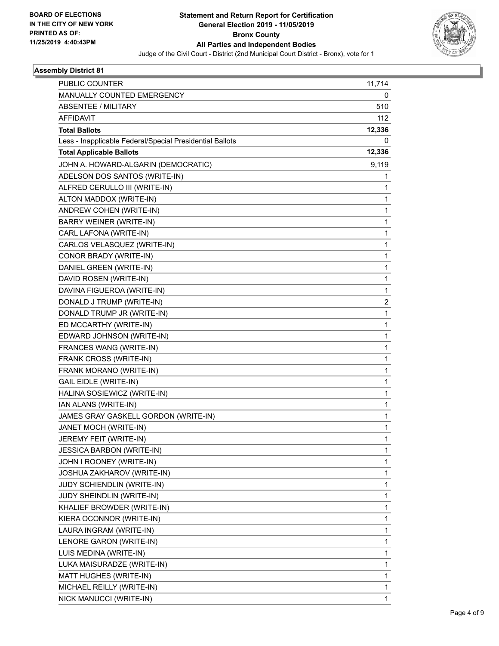

| <b>PUBLIC COUNTER</b>                                    | 11,714   |
|----------------------------------------------------------|----------|
| MANUALLY COUNTED EMERGENCY                               | 0        |
| <b>ABSENTEE / MILITARY</b>                               | 510      |
| <b>AFFIDAVIT</b>                                         | 112      |
| <b>Total Ballots</b>                                     | 12,336   |
| Less - Inapplicable Federal/Special Presidential Ballots | $\Omega$ |
| <b>Total Applicable Ballots</b>                          | 12,336   |
| JOHN A. HOWARD-ALGARIN (DEMOCRATIC)                      | 9,119    |
| ADELSON DOS SANTOS (WRITE-IN)                            | 1        |
| ALFRED CERULLO III (WRITE-IN)                            | 1        |
| ALTON MADDOX (WRITE-IN)                                  | 1        |
| ANDREW COHEN (WRITE-IN)                                  | 1        |
| <b>BARRY WEINER (WRITE-IN)</b>                           | 1        |
| CARL LAFONA (WRITE-IN)                                   | 1        |
| CARLOS VELASQUEZ (WRITE-IN)                              | 1        |
| CONOR BRADY (WRITE-IN)                                   | 1        |
| DANIEL GREEN (WRITE-IN)                                  | 1        |
| DAVID ROSEN (WRITE-IN)                                   | 1        |
| DAVINA FIGUEROA (WRITE-IN)                               | 1        |
| DONALD J TRUMP (WRITE-IN)                                | 2        |
| DONALD TRUMP JR (WRITE-IN)                               | 1        |
| ED MCCARTHY (WRITE-IN)                                   | 1        |
| EDWARD JOHNSON (WRITE-IN)                                | 1        |
| FRANCES WANG (WRITE-IN)                                  | 1        |
| FRANK CROSS (WRITE-IN)                                   | 1        |
| FRANK MORANO (WRITE-IN)                                  | 1        |
| <b>GAIL EIDLE (WRITE-IN)</b>                             | 1        |
| HALINA SOSIEWICZ (WRITE-IN)                              | 1        |
| IAN ALANS (WRITE-IN)                                     | 1        |
| JAMES GRAY GASKELL GORDON (WRITE-IN)                     | 1        |
| JANET MOCH (WRITE-IN)                                    | 1        |
| JEREMY FEIT (WRITE-IN)                                   | 1        |
| <b>JESSICA BARBON (WRITE-IN)</b>                         | 1        |
| JOHN I ROONEY (WRITE-IN)                                 | 1        |
| JOSHUA ZAKHAROV (WRITE-IN)                               | 1        |
| JUDY SCHIENDLIN (WRITE-IN)                               | 1        |
| JUDY SHEINDLIN (WRITE-IN)                                | 1        |
| KHALIEF BROWDER (WRITE-IN)                               | 1        |
| KIERA OCONNOR (WRITE-IN)                                 | 1        |
| LAURA INGRAM (WRITE-IN)                                  | 1        |
| LENORE GARON (WRITE-IN)                                  | 1        |
| LUIS MEDINA (WRITE-IN)                                   | 1        |
| LUKA MAISURADZE (WRITE-IN)                               | 1        |
| MATT HUGHES (WRITE-IN)                                   | 1        |
| MICHAEL REILLY (WRITE-IN)                                | 1        |
| NICK MANUCCI (WRITE-IN)                                  | 1        |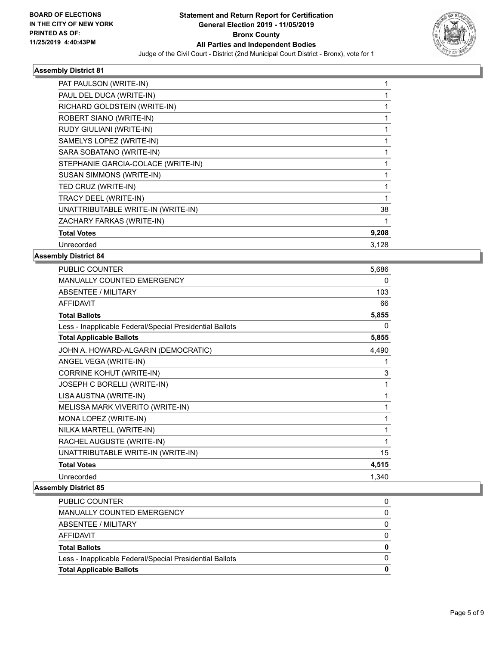

| PAT PAULSON (WRITE-IN)             |       |
|------------------------------------|-------|
| PAUL DEL DUCA (WRITE-IN)           |       |
| RICHARD GOLDSTEIN (WRITE-IN)       |       |
| ROBERT SIANO (WRITE-IN)            |       |
| RUDY GIULIANI (WRITE-IN)           |       |
| SAMELYS LOPEZ (WRITE-IN)           |       |
| SARA SOBATANO (WRITE-IN)           |       |
| STEPHANIE GARCIA-COLACE (WRITE-IN) |       |
| <b>SUSAN SIMMONS (WRITE-IN)</b>    |       |
| TED CRUZ (WRITE-IN)                |       |
| TRACY DEEL (WRITE-IN)              |       |
| UNATTRIBUTABLE WRITE-IN (WRITE-IN) | 38    |
| ZACHARY FARKAS (WRITE-IN)          |       |
| <b>Total Votes</b>                 | 9,208 |
| Unrecorded                         | 3,128 |
|                                    |       |

## **Assembly District 84**

| PUBLIC COUNTER                                           | 5,686        |
|----------------------------------------------------------|--------------|
| <b>MANUALLY COUNTED EMERGENCY</b>                        | $\mathbf{0}$ |
| <b>ABSENTEE / MILITARY</b>                               | 103          |
| <b>AFFIDAVIT</b>                                         | 66           |
| <b>Total Ballots</b>                                     | 5,855        |
| Less - Inapplicable Federal/Special Presidential Ballots | 0            |
| <b>Total Applicable Ballots</b>                          | 5,855        |
| JOHN A. HOWARD-ALGARIN (DEMOCRATIC)                      | 4,490        |
| ANGEL VEGA (WRITE-IN)                                    | 1            |
| <b>CORRINE KOHUT (WRITE-IN)</b>                          | 3            |
| JOSEPH C BORELLI (WRITE-IN)                              | 1            |
| LISA AUSTNA (WRITE-IN)                                   | 1            |
| MELISSA MARK VIVERITO (WRITE-IN)                         | 1            |
| MONA LOPEZ (WRITE-IN)                                    | 1            |
| NILKA MARTELL (WRITE-IN)                                 | 1            |
| RACHEL AUGUSTE (WRITE-IN)                                | 1            |
| UNATTRIBUTABLE WRITE-IN (WRITE-IN)                       | 15           |
| <b>Total Votes</b>                                       | 4,515        |
| Unrecorded                                               | 1,340        |

| MANUALLY COUNTED EMERGENCY                               | 0 |
|----------------------------------------------------------|---|
| ABSENTEE / MILITARY                                      | 0 |
| AFFIDAVIT                                                | 0 |
| <b>Total Ballots</b>                                     | 0 |
| Less - Inapplicable Federal/Special Presidential Ballots |   |
| <b>Total Applicable Ballots</b>                          | 0 |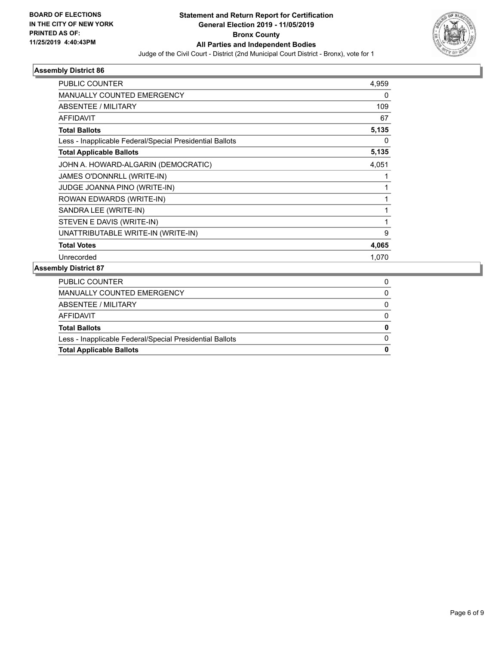

| <b>PUBLIC COUNTER</b>                                    | 4,959        |
|----------------------------------------------------------|--------------|
| <b>MANUALLY COUNTED EMERGENCY</b>                        | 0            |
| ABSENTEE / MILITARY                                      | 109          |
| <b>AFFIDAVIT</b>                                         | 67           |
| <b>Total Ballots</b>                                     | 5,135        |
| Less - Inapplicable Federal/Special Presidential Ballots | 0            |
| <b>Total Applicable Ballots</b>                          | 5,135        |
| JOHN A. HOWARD-ALGARIN (DEMOCRATIC)                      | 4,051        |
| JAMES O'DONNRLL (WRITE-IN)                               |              |
| <b>JUDGE JOANNA PINO (WRITE-IN)</b>                      | 1            |
| ROWAN EDWARDS (WRITE-IN)                                 | 1            |
| SANDRA LEE (WRITE-IN)                                    | 1            |
| STEVEN E DAVIS (WRITE-IN)                                | $\mathbf{1}$ |
| UNATTRIBUTABLE WRITE-IN (WRITE-IN)                       | 9            |
| <b>Total Votes</b>                                       | 4,065        |
| Unrecorded                                               | 1,070        |
|                                                          |              |

| <b>Total Applicable Ballots</b>                          | 0 |
|----------------------------------------------------------|---|
| Less - Inapplicable Federal/Special Presidential Ballots |   |
| <b>Total Ballots</b>                                     | 0 |
| AFFIDAVIT                                                |   |
| ABSENTEE / MILITARY                                      |   |
| MANUALLY COUNTED EMERGENCY                               | 0 |
| PUBLIC COUNTER                                           |   |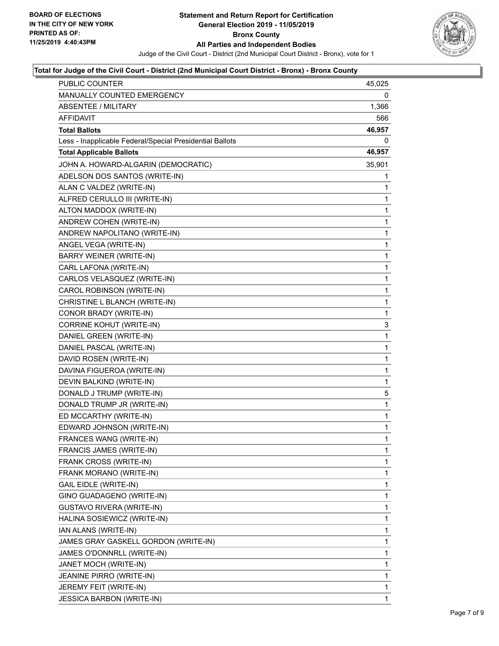

#### **Total for Judge of the Civil Court - District (2nd Municipal Court District - Bronx) - Bronx County**

| PUBLIC COUNTER                                           | 45,025       |
|----------------------------------------------------------|--------------|
| <b>MANUALLY COUNTED EMERGENCY</b>                        | 0            |
| <b>ABSENTEE / MILITARY</b>                               | 1,366        |
| AFFIDAVIT                                                | 566          |
| <b>Total Ballots</b>                                     | 46,957       |
| Less - Inapplicable Federal/Special Presidential Ballots | 0            |
| <b>Total Applicable Ballots</b>                          | 46,957       |
| JOHN A. HOWARD-ALGARIN (DEMOCRATIC)                      | 35,901       |
| ADELSON DOS SANTOS (WRITE-IN)                            | 1            |
| ALAN C VALDEZ (WRITE-IN)                                 | 1            |
| ALFRED CERULLO III (WRITE-IN)                            | 1            |
| ALTON MADDOX (WRITE-IN)                                  | 1            |
| ANDREW COHEN (WRITE-IN)                                  | 1            |
| ANDREW NAPOLITANO (WRITE-IN)                             | 1            |
| ANGEL VEGA (WRITE-IN)                                    | 1            |
| <b>BARRY WEINER (WRITE-IN)</b>                           | 1            |
| CARL LAFONA (WRITE-IN)                                   | 1            |
| CARLOS VELASQUEZ (WRITE-IN)                              | 1            |
| CAROL ROBINSON (WRITE-IN)                                | 1            |
| CHRISTINE L BLANCH (WRITE-IN)                            | 1            |
| CONOR BRADY (WRITE-IN)                                   | 1            |
| CORRINE KOHUT (WRITE-IN)                                 | 3            |
| DANIEL GREEN (WRITE-IN)                                  | 1            |
| DANIEL PASCAL (WRITE-IN)                                 | 1            |
| DAVID ROSEN (WRITE-IN)                                   | 1            |
| DAVINA FIGUEROA (WRITE-IN)                               | 1            |
| DEVIN BALKIND (WRITE-IN)                                 | 1            |
| DONALD J TRUMP (WRITE-IN)                                | 5            |
| DONALD TRUMP JR (WRITE-IN)                               | 1            |
| ED MCCARTHY (WRITE-IN)                                   | 1            |
| EDWARD JOHNSON (WRITE-IN)                                | 1            |
| FRANCES WANG (WRITE-IN)                                  | $\mathbf{1}$ |
| FRANCIS JAMES (WRITE-IN)                                 | 1            |
| FRANK CROSS (WRITE-IN)                                   | 1            |
| FRANK MORANO (WRITE-IN)                                  | 1            |
| <b>GAIL EIDLE (WRITE-IN)</b>                             | 1            |
| GINO GUADAGENO (WRITE-IN)                                | 1            |
| GUSTAVO RIVERA (WRITE-IN)                                | 1            |
| HALINA SOSIEWICZ (WRITE-IN)                              | 1            |
| IAN ALANS (WRITE-IN)                                     | 1            |
| JAMES GRAY GASKELL GORDON (WRITE-IN)                     | 1            |
| JAMES O'DONNRLL (WRITE-IN)                               | 1            |
| JANET MOCH (WRITE-IN)                                    | 1            |
| JEANINE PIRRO (WRITE-IN)                                 | 1            |
| JEREMY FEIT (WRITE-IN)                                   | 1            |
| <b>JESSICA BARBON (WRITE-IN)</b>                         | 1            |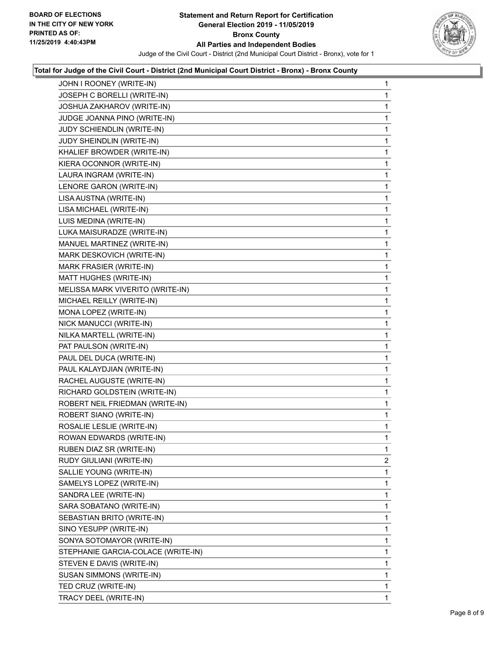

## **Total for Judge of the Civil Court - District (2nd Municipal Court District - Bronx) - Bronx County**

| JOSEPH C BORELLI (WRITE-IN)<br>JOSHUA ZAKHAROV (WRITE-IN)<br>JUDGE JOANNA PINO (WRITE-IN)<br>JUDY SCHIENDLIN (WRITE-IN)<br>JUDY SHEINDLIN (WRITE-IN)<br>KHALIEF BROWDER (WRITE-IN)<br>KIERA OCONNOR (WRITE-IN)<br>LAURA INGRAM (WRITE-IN)<br>LENORE GARON (WRITE-IN)<br>LISA AUSTNA (WRITE-IN)<br>LISA MICHAEL (WRITE-IN)<br>LUIS MEDINA (WRITE-IN)<br>LUKA MAISURADZE (WRITE-IN)<br>MANUEL MARTINEZ (WRITE-IN)<br>MARK DESKOVICH (WRITE-IN)<br>MARK FRASIER (WRITE-IN)<br>MATT HUGHES (WRITE-IN)<br>MELISSA MARK VIVERITO (WRITE-IN)<br>MICHAEL REILLY (WRITE-IN)<br>MONA LOPEZ (WRITE-IN)<br>NICK MANUCCI (WRITE-IN)<br>NILKA MARTELL (WRITE-IN)<br>PAT PAULSON (WRITE-IN)<br>PAUL DEL DUCA (WRITE-IN)<br>PAUL KALAYDJIAN (WRITE-IN)<br>RACHEL AUGUSTE (WRITE-IN)<br>RICHARD GOLDSTEIN (WRITE-IN)<br>ROBERT NEIL FRIEDMAN (WRITE-IN)<br>ROBERT SIANO (WRITE-IN)<br>ROSALIE LESLIE (WRITE-IN)<br>ROWAN EDWARDS (WRITE-IN)<br>RUBEN DIAZ SR (WRITE-IN)<br>RUDY GIULIANI (WRITE-IN)<br>SALLIE YOUNG (WRITE-IN)<br>SAMELYS LOPEZ (WRITE-IN)<br>SANDRA LEE (WRITE-IN)<br>SARA SOBATANO (WRITE-IN)<br>SEBASTIAN BRITO (WRITE-IN)<br>SINO YESUPP (WRITE-IN)<br>SONYA SOTOMAYOR (WRITE-IN)<br>STEPHANIE GARCIA-COLACE (WRITE-IN)<br>STEVEN E DAVIS (WRITE-IN)<br>SUSAN SIMMONS (WRITE-IN)<br>TED CRUZ (WRITE-IN) | JOHN I ROONEY (WRITE-IN) | 1            |
|------------------------------------------------------------------------------------------------------------------------------------------------------------------------------------------------------------------------------------------------------------------------------------------------------------------------------------------------------------------------------------------------------------------------------------------------------------------------------------------------------------------------------------------------------------------------------------------------------------------------------------------------------------------------------------------------------------------------------------------------------------------------------------------------------------------------------------------------------------------------------------------------------------------------------------------------------------------------------------------------------------------------------------------------------------------------------------------------------------------------------------------------------------------------------------------------------------------------------------------------------------------------------------------------------------|--------------------------|--------------|
|                                                                                                                                                                                                                                                                                                                                                                                                                                                                                                                                                                                                                                                                                                                                                                                                                                                                                                                                                                                                                                                                                                                                                                                                                                                                                                            |                          | 1            |
|                                                                                                                                                                                                                                                                                                                                                                                                                                                                                                                                                                                                                                                                                                                                                                                                                                                                                                                                                                                                                                                                                                                                                                                                                                                                                                            |                          | 1            |
|                                                                                                                                                                                                                                                                                                                                                                                                                                                                                                                                                                                                                                                                                                                                                                                                                                                                                                                                                                                                                                                                                                                                                                                                                                                                                                            |                          | 1            |
|                                                                                                                                                                                                                                                                                                                                                                                                                                                                                                                                                                                                                                                                                                                                                                                                                                                                                                                                                                                                                                                                                                                                                                                                                                                                                                            |                          | $\mathbf{1}$ |
|                                                                                                                                                                                                                                                                                                                                                                                                                                                                                                                                                                                                                                                                                                                                                                                                                                                                                                                                                                                                                                                                                                                                                                                                                                                                                                            |                          | 1            |
|                                                                                                                                                                                                                                                                                                                                                                                                                                                                                                                                                                                                                                                                                                                                                                                                                                                                                                                                                                                                                                                                                                                                                                                                                                                                                                            |                          | 1            |
|                                                                                                                                                                                                                                                                                                                                                                                                                                                                                                                                                                                                                                                                                                                                                                                                                                                                                                                                                                                                                                                                                                                                                                                                                                                                                                            |                          | 1            |
|                                                                                                                                                                                                                                                                                                                                                                                                                                                                                                                                                                                                                                                                                                                                                                                                                                                                                                                                                                                                                                                                                                                                                                                                                                                                                                            |                          | 1            |
|                                                                                                                                                                                                                                                                                                                                                                                                                                                                                                                                                                                                                                                                                                                                                                                                                                                                                                                                                                                                                                                                                                                                                                                                                                                                                                            |                          | 1            |
|                                                                                                                                                                                                                                                                                                                                                                                                                                                                                                                                                                                                                                                                                                                                                                                                                                                                                                                                                                                                                                                                                                                                                                                                                                                                                                            |                          | 1            |
|                                                                                                                                                                                                                                                                                                                                                                                                                                                                                                                                                                                                                                                                                                                                                                                                                                                                                                                                                                                                                                                                                                                                                                                                                                                                                                            |                          | 1            |
|                                                                                                                                                                                                                                                                                                                                                                                                                                                                                                                                                                                                                                                                                                                                                                                                                                                                                                                                                                                                                                                                                                                                                                                                                                                                                                            |                          | 1            |
|                                                                                                                                                                                                                                                                                                                                                                                                                                                                                                                                                                                                                                                                                                                                                                                                                                                                                                                                                                                                                                                                                                                                                                                                                                                                                                            |                          | 1            |
|                                                                                                                                                                                                                                                                                                                                                                                                                                                                                                                                                                                                                                                                                                                                                                                                                                                                                                                                                                                                                                                                                                                                                                                                                                                                                                            |                          | 1            |
|                                                                                                                                                                                                                                                                                                                                                                                                                                                                                                                                                                                                                                                                                                                                                                                                                                                                                                                                                                                                                                                                                                                                                                                                                                                                                                            |                          | 1            |
|                                                                                                                                                                                                                                                                                                                                                                                                                                                                                                                                                                                                                                                                                                                                                                                                                                                                                                                                                                                                                                                                                                                                                                                                                                                                                                            |                          | 1            |
|                                                                                                                                                                                                                                                                                                                                                                                                                                                                                                                                                                                                                                                                                                                                                                                                                                                                                                                                                                                                                                                                                                                                                                                                                                                                                                            |                          | 1            |
|                                                                                                                                                                                                                                                                                                                                                                                                                                                                                                                                                                                                                                                                                                                                                                                                                                                                                                                                                                                                                                                                                                                                                                                                                                                                                                            |                          | 1            |
|                                                                                                                                                                                                                                                                                                                                                                                                                                                                                                                                                                                                                                                                                                                                                                                                                                                                                                                                                                                                                                                                                                                                                                                                                                                                                                            |                          | 1            |
|                                                                                                                                                                                                                                                                                                                                                                                                                                                                                                                                                                                                                                                                                                                                                                                                                                                                                                                                                                                                                                                                                                                                                                                                                                                                                                            |                          | 1            |
|                                                                                                                                                                                                                                                                                                                                                                                                                                                                                                                                                                                                                                                                                                                                                                                                                                                                                                                                                                                                                                                                                                                                                                                                                                                                                                            |                          | 1            |
|                                                                                                                                                                                                                                                                                                                                                                                                                                                                                                                                                                                                                                                                                                                                                                                                                                                                                                                                                                                                                                                                                                                                                                                                                                                                                                            |                          | 1            |
|                                                                                                                                                                                                                                                                                                                                                                                                                                                                                                                                                                                                                                                                                                                                                                                                                                                                                                                                                                                                                                                                                                                                                                                                                                                                                                            |                          | 1            |
|                                                                                                                                                                                                                                                                                                                                                                                                                                                                                                                                                                                                                                                                                                                                                                                                                                                                                                                                                                                                                                                                                                                                                                                                                                                                                                            |                          | 1            |
|                                                                                                                                                                                                                                                                                                                                                                                                                                                                                                                                                                                                                                                                                                                                                                                                                                                                                                                                                                                                                                                                                                                                                                                                                                                                                                            |                          | 1            |
|                                                                                                                                                                                                                                                                                                                                                                                                                                                                                                                                                                                                                                                                                                                                                                                                                                                                                                                                                                                                                                                                                                                                                                                                                                                                                                            |                          | 1            |
|                                                                                                                                                                                                                                                                                                                                                                                                                                                                                                                                                                                                                                                                                                                                                                                                                                                                                                                                                                                                                                                                                                                                                                                                                                                                                                            |                          | 1            |
|                                                                                                                                                                                                                                                                                                                                                                                                                                                                                                                                                                                                                                                                                                                                                                                                                                                                                                                                                                                                                                                                                                                                                                                                                                                                                                            |                          | 1            |
|                                                                                                                                                                                                                                                                                                                                                                                                                                                                                                                                                                                                                                                                                                                                                                                                                                                                                                                                                                                                                                                                                                                                                                                                                                                                                                            |                          | 1            |
|                                                                                                                                                                                                                                                                                                                                                                                                                                                                                                                                                                                                                                                                                                                                                                                                                                                                                                                                                                                                                                                                                                                                                                                                                                                                                                            |                          | 1            |
|                                                                                                                                                                                                                                                                                                                                                                                                                                                                                                                                                                                                                                                                                                                                                                                                                                                                                                                                                                                                                                                                                                                                                                                                                                                                                                            |                          | 1            |
|                                                                                                                                                                                                                                                                                                                                                                                                                                                                                                                                                                                                                                                                                                                                                                                                                                                                                                                                                                                                                                                                                                                                                                                                                                                                                                            |                          | 1            |
|                                                                                                                                                                                                                                                                                                                                                                                                                                                                                                                                                                                                                                                                                                                                                                                                                                                                                                                                                                                                                                                                                                                                                                                                                                                                                                            |                          | 2            |
|                                                                                                                                                                                                                                                                                                                                                                                                                                                                                                                                                                                                                                                                                                                                                                                                                                                                                                                                                                                                                                                                                                                                                                                                                                                                                                            |                          | 1            |
|                                                                                                                                                                                                                                                                                                                                                                                                                                                                                                                                                                                                                                                                                                                                                                                                                                                                                                                                                                                                                                                                                                                                                                                                                                                                                                            |                          | 1            |
|                                                                                                                                                                                                                                                                                                                                                                                                                                                                                                                                                                                                                                                                                                                                                                                                                                                                                                                                                                                                                                                                                                                                                                                                                                                                                                            |                          | 1            |
|                                                                                                                                                                                                                                                                                                                                                                                                                                                                                                                                                                                                                                                                                                                                                                                                                                                                                                                                                                                                                                                                                                                                                                                                                                                                                                            |                          | 1            |
|                                                                                                                                                                                                                                                                                                                                                                                                                                                                                                                                                                                                                                                                                                                                                                                                                                                                                                                                                                                                                                                                                                                                                                                                                                                                                                            |                          | 1            |
|                                                                                                                                                                                                                                                                                                                                                                                                                                                                                                                                                                                                                                                                                                                                                                                                                                                                                                                                                                                                                                                                                                                                                                                                                                                                                                            |                          | 1            |
|                                                                                                                                                                                                                                                                                                                                                                                                                                                                                                                                                                                                                                                                                                                                                                                                                                                                                                                                                                                                                                                                                                                                                                                                                                                                                                            |                          | 1            |
|                                                                                                                                                                                                                                                                                                                                                                                                                                                                                                                                                                                                                                                                                                                                                                                                                                                                                                                                                                                                                                                                                                                                                                                                                                                                                                            |                          | 1            |
|                                                                                                                                                                                                                                                                                                                                                                                                                                                                                                                                                                                                                                                                                                                                                                                                                                                                                                                                                                                                                                                                                                                                                                                                                                                                                                            |                          | 1            |
|                                                                                                                                                                                                                                                                                                                                                                                                                                                                                                                                                                                                                                                                                                                                                                                                                                                                                                                                                                                                                                                                                                                                                                                                                                                                                                            |                          | 1            |
|                                                                                                                                                                                                                                                                                                                                                                                                                                                                                                                                                                                                                                                                                                                                                                                                                                                                                                                                                                                                                                                                                                                                                                                                                                                                                                            |                          | 1            |
|                                                                                                                                                                                                                                                                                                                                                                                                                                                                                                                                                                                                                                                                                                                                                                                                                                                                                                                                                                                                                                                                                                                                                                                                                                                                                                            | TRACY DEEL (WRITE-IN)    | 1            |